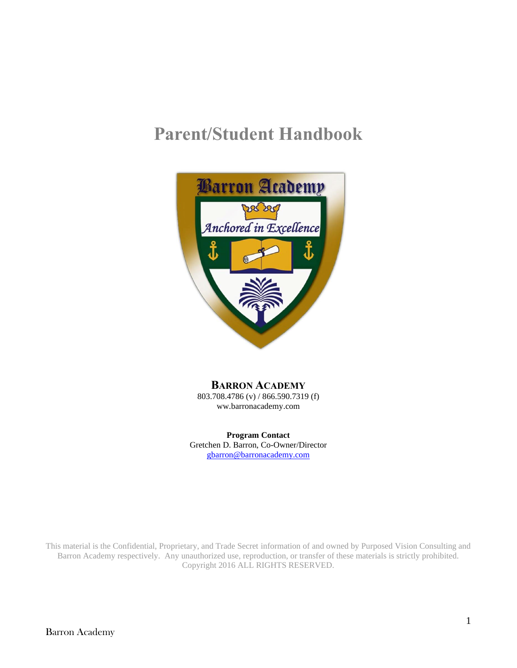# **Parent/Student Handbook**



## **BARRON ACADEMY**

803.708.4786 (v) / 866.590.7319 (f) ww.barronacademy.com

**Program Contact** Gretchen D. Barron, Co-Owner/Director [gbarron@barronacademy.com](mailto:gbarron@barronacademy.com)

This material is the Confidential, Proprietary, and Trade Secret information of and owned by Purposed Vision Consulting and Barron Academy respectively. Any unauthorized use, reproduction, or transfer of these materials is strictly prohibited. Copyright 2016 ALL RIGHTS RESERVED.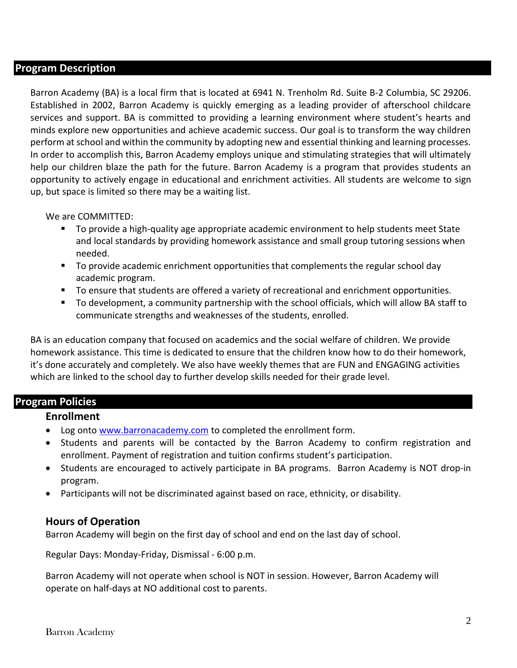#### **Program Description**

Barron Academy (BA) is a local firm that is located at 6941 N. Trenholm Rd. Suite B-2 Columbia, SC 29206. Established in 2002, Barron Academy is quickly emerging as a leading provider of afterschool childcare services and support. BA is committed to providing a learning environment where student's hearts and minds explore new opportunities and achieve academic success. Our goal is to transform the way children perform at school and within the community by adopting new and essential thinking and learning processes. In order to accomplish this, Barron Academy employs unique and stimulating strategies that will ultimately help our children blaze the path for the future. Barron Academy is a program that provides students an opportunity to actively engage in educational and enrichment activities. All students are welcome to sign up, but space is limited so there may be a waiting list.

We are COMMITTED:

- To provide a high-quality age appropriate academic environment to help students meet State and local standards by providing homework assistance and small group tutoring sessions when needed.
- To provide academic enrichment opportunities that complements the regular school day academic program.
- To ensure that students are offered a variety of recreational and enrichment opportunities.
- To development, a community partnership with the school officials, which will allow BA staff to communicate strengths and weaknesses of the students, enrolled.

BA is an education company that focused on academics and the social welfare of children. We provide homework assistance. This time is dedicated to ensure that the children know how to do their homework, it's done accurately and completely. We also have weekly themes that are FUN and ENGAGING activities which are linked to the school day to further develop skills needed for their grade level.

#### **Program Policies**

#### **Enrollment**

- Log onto [www.barronacademy.com](http://www.barronacademy.com/) to completed the enrollment form.
- Students and parents will be contacted by the Barron Academy to confirm registration and enrollment. Payment of registration and tuition confirms student's participation.
- Students are encouraged to actively participate in BA programs. Barron Academy is NOT drop-in program.
- Participants will not be discriminated against based on race, ethnicity, or disability.

#### **Hours of Operation**

Barron Academy will begin on the first day of school and end on the last day of school.

Regular Days: Monday-Friday, Dismissal - 6:00 p.m.

Barron Academy will not operate when school is NOT in session. However, Barron Academy will operate on half-days at NO additional cost to parents.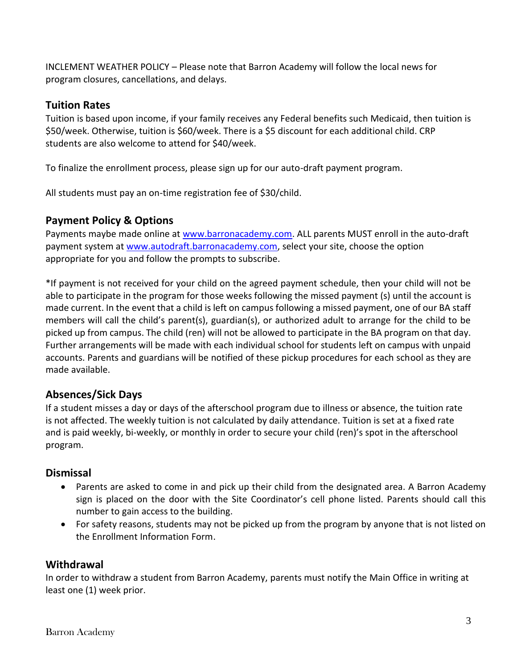INCLEMENT WEATHER POLICY – Please note that Barron Academy will follow the local news for program closures, cancellations, and delays.

## **Tuition Rates**

Tuition is based upon income, if your family receives any Federal benefits such Medicaid, then tuition is \$50/week. Otherwise, tuition is \$60/week. There is a \$5 discount for each additional child. CRP students are also welcome to attend for \$40/week.

To finalize the enrollment process, please sign up for our auto-draft payment program.

All students must pay an on-time registration fee of \$30/child.

## **Payment Policy & Options**

Payments maybe made online at [www.barronacademy.com.](http://www.barronacademy.com/) ALL parents MUST enroll in the auto-draft payment system at [www.autodraft.barronacademy.com,](http://www.autodraft.barronacademy.com/) select your site, choose the option appropriate for you and follow the prompts to subscribe.

\*If payment is not received for your child on the agreed payment schedule, then your child will not be able to participate in the program for those weeks following the missed payment (s) until the account is made current. In the event that a child is left on campus following a missed payment, one of our BA staff members will call the child's parent(s), guardian(s), or authorized adult to arrange for the child to be picked up from campus. The child (ren) will not be allowed to participate in the BA program on that day. Further arrangements will be made with each individual school for students left on campus with unpaid accounts. Parents and guardians will be notified of these pickup procedures for each school as they are made available.

## **Absences/Sick Days**

If a student misses a day or days of the afterschool program due to illness or absence, the tuition rate is not affected. The weekly tuition is not calculated by daily attendance. Tuition is set at a fixed rate and is paid weekly, bi-weekly, or monthly in order to secure your child (ren)'s spot in the afterschool program.

#### **Dismissal**

- Parents are asked to come in and pick up their child from the designated area. A Barron Academy sign is placed on the door with the Site Coordinator's cell phone listed. Parents should call this number to gain access to the building.
- For safety reasons, students may not be picked up from the program by anyone that is not listed on the Enrollment Information Form.

## **Withdrawal**

In order to withdraw a student from Barron Academy, parents must notify the Main Office in writing at least one (1) week prior.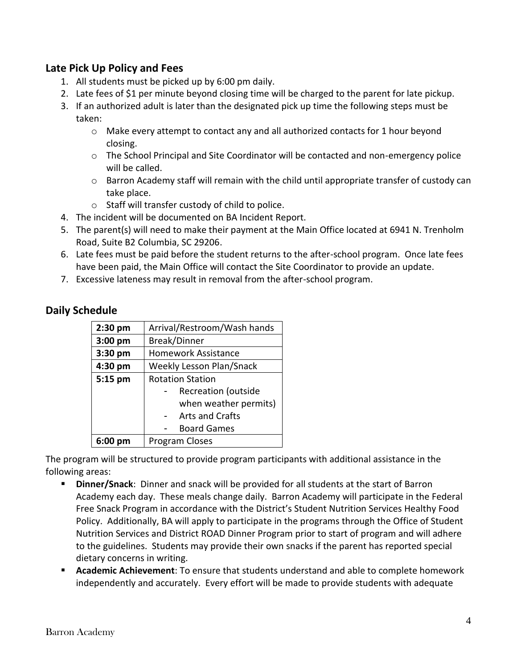## **Late Pick Up Policy and Fees**

- 1. All students must be picked up by 6:00 pm daily.
- 2. Late fees of \$1 per minute beyond closing time will be charged to the parent for late pickup.
- 3. If an authorized adult is later than the designated pick up time the following steps must be taken:
	- $\circ$  Make every attempt to contact any and all authorized contacts for 1 hour beyond closing.
	- $\circ$  The School Principal and Site Coordinator will be contacted and non-emergency police will be called.
	- o Barron Academy staff will remain with the child until appropriate transfer of custody can take place.
	- o Staff will transfer custody of child to police.
- 4. The incident will be documented on BA Incident Report.
- 5. The parent(s) will need to make their payment at the Main Office located at 6941 N. Trenholm Road, Suite B2 Columbia, SC 29206.
- 6. Late fees must be paid before the student returns to the after-school program. Once late fees have been paid, the Main Office will contact the Site Coordinator to provide an update.
- 7. Excessive lateness may result in removal from the after-school program.

|  | <b>Daily Schedule</b> |
|--|-----------------------|
|--|-----------------------|

| $2:30$ pm         | Arrival/Restroom/Wash hands     |
|-------------------|---------------------------------|
| $3:00$ pm         | <b>Break/Dinner</b>             |
| 3:30 pm           | <b>Homework Assistance</b>      |
| 4:30 pm           | <b>Weekly Lesson Plan/Snack</b> |
| 5:15 pm           | <b>Rotation Station</b>         |
|                   | <b>Recreation (outside</b>      |
|                   | when weather permits)           |
|                   | <b>Arts and Crafts</b>          |
|                   | <b>Board Games</b>              |
| $6:00 \text{ pm}$ | Program Closes                  |

The program will be structured to provide program participants with additional assistance in the following areas:

- **Dinner/Snack**: Dinner and snack will be provided for all students at the start of Barron Academy each day. These meals change daily. Barron Academy will participate in the Federal Free Snack Program in accordance with the District's Student Nutrition Services Healthy Food Policy. Additionally, BA will apply to participate in the programs through the Office of Student Nutrition Services and District ROAD Dinner Program prior to start of program and will adhere to the guidelines. Students may provide their own snacks if the parent has reported special dietary concerns in writing.
- **Academic Achievement**: To ensure that students understand and able to complete homework independently and accurately. Every effort will be made to provide students with adequate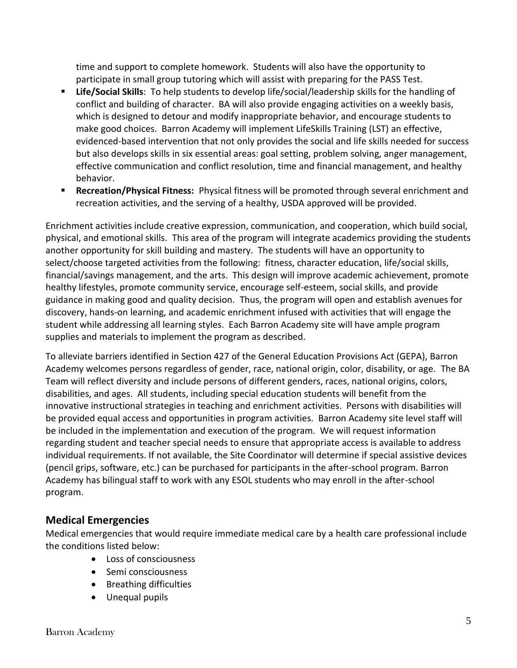time and support to complete homework. Students will also have the opportunity to participate in small group tutoring which will assist with preparing for the PASS Test.

- **Life/Social Skills**: To help students to develop life/social/leadership skills for the handling of conflict and building of character. BA will also provide engaging activities on a weekly basis, which is designed to detour and modify inappropriate behavior, and encourage students to make good choices. Barron Academy will implement LifeSkills Training (LST) an effective, evidenced-based intervention that not only provides the social and life skills needed for success but also develops skills in six essential areas: goal setting, problem solving, anger management, effective communication and conflict resolution, time and financial management, and healthy behavior.
- **EXECTE Recreation/Physical Fitness:** Physical fitness will be promoted through several enrichment and recreation activities, and the serving of a healthy, USDA approved will be provided.

Enrichment activities include creative expression, communication, and cooperation, which build social, physical, and emotional skills. This area of the program will integrate academics providing the students another opportunity for skill building and mastery. The students will have an opportunity to select/choose targeted activities from the following: fitness, character education, life/social skills, financial/savings management, and the arts. This design will improve academic achievement, promote healthy lifestyles, promote community service, encourage self-esteem, social skills, and provide guidance in making good and quality decision. Thus, the program will open and establish avenues for discovery, hands-on learning, and academic enrichment infused with activities that will engage the student while addressing all learning styles. Each Barron Academy site will have ample program supplies and materials to implement the program as described.

To alleviate barriers identified in Section 427 of the General Education Provisions Act (GEPA), Barron Academy welcomes persons regardless of gender, race, national origin, color, disability, or age. The BA Team will reflect diversity and include persons of different genders, races, national origins, colors, disabilities, and ages. All students, including special education students will benefit from the innovative instructional strategies in teaching and enrichment activities. Persons with disabilities will be provided equal access and opportunities in program activities. Barron Academy site level staff will be included in the implementation and execution of the program. We will request information regarding student and teacher special needs to ensure that appropriate access is available to address individual requirements. If not available, the Site Coordinator will determine if special assistive devices (pencil grips, software, etc.) can be purchased for participants in the after-school program. Barron Academy has bilingual staff to work with any ESOL students who may enroll in the after-school program.

## **Medical Emergencies**

Medical emergencies that would require immediate medical care by a health care professional include the conditions listed below:

- Loss of consciousness
- Semi consciousness
- Breathing difficulties
- Unequal pupils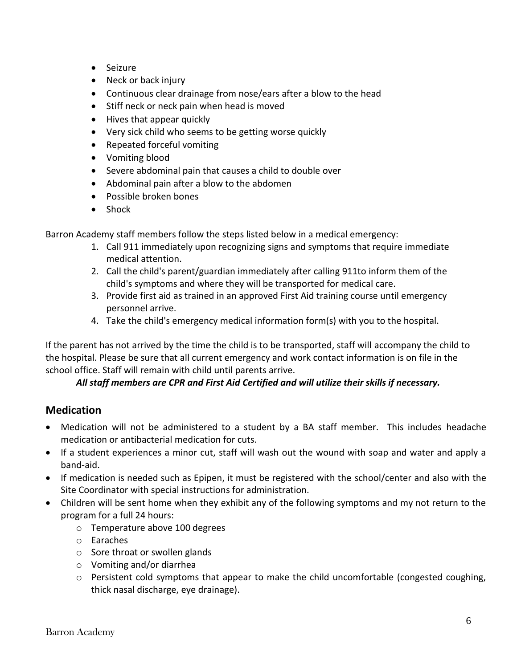- Seizure
- Neck or back injury
- Continuous clear drainage from nose/ears after a blow to the head
- Stiff neck or neck pain when head is moved
- Hives that appear quickly
- Very sick child who seems to be getting worse quickly
- Repeated forceful vomiting
- Vomiting blood
- Severe abdominal pain that causes a child to double over
- Abdominal pain after a blow to the abdomen
- Possible broken bones
- Shock

Barron Academy staff members follow the steps listed below in a medical emergency:

- 1. Call 911 immediately upon recognizing signs and symptoms that require immediate medical attention.
- 2. Call the child's parent/guardian immediately after calling 911to inform them of the child's symptoms and where they will be transported for medical care.
- 3. Provide first aid as trained in an approved First Aid training course until emergency personnel arrive.
- 4. Take the child's emergency medical information form(s) with you to the hospital.

If the parent has not arrived by the time the child is to be transported, staff will accompany the child to the hospital. Please be sure that all current emergency and work contact information is on file in the school office. Staff will remain with child until parents arrive.

#### *All staff members are CPR and First Aid Certified and will utilize their skills if necessary.*

## **Medication**

- Medication will not be administered to a student by a BA staff member. This includes headache medication or antibacterial medication for cuts.
- If a student experiences a minor cut, staff will wash out the wound with soap and water and apply a band-aid.
- If medication is needed such as Epipen, it must be registered with the school/center and also with the Site Coordinator with special instructions for administration.
- Children will be sent home when they exhibit any of the following symptoms and my not return to the program for a full 24 hours:
	- o Temperature above 100 degrees
	- o Earaches
	- o Sore throat or swollen glands
	- o Vomiting and/or diarrhea
	- o Persistent cold symptoms that appear to make the child uncomfortable (congested coughing, thick nasal discharge, eye drainage).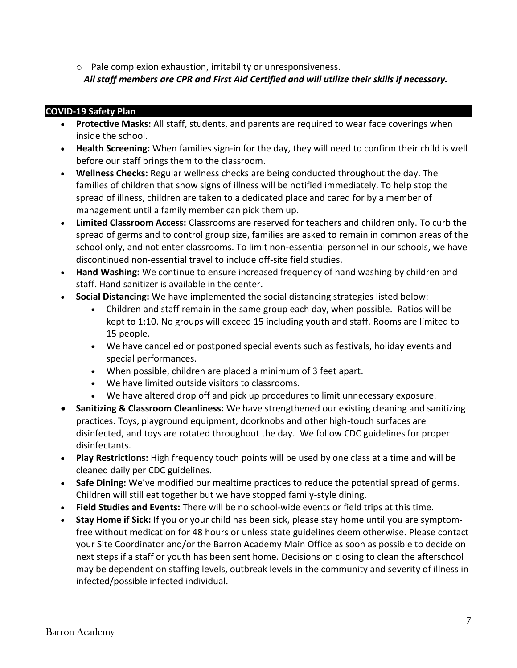o Pale complexion exhaustion, irritability or unresponsiveness. *All staff members are CPR and First Aid Certified and will utilize their skills if necessary.*

#### **COVID-19 Safety Plan**

- **Protective Masks:** All staff, students, and parents are required to wear face coverings when inside the school.
- **Health Screening:** When families sign-in for the day, they will need to confirm their child is well before our staff brings them to the classroom.
- **Wellness Checks:** Regular wellness checks are being conducted throughout the day. The families of children that show signs of illness will be notified immediately. To help stop the spread of illness, children are taken to a dedicated place and cared for by a member of management until a family member can pick them up.
- **Limited Classroom Access:** Classrooms are reserved for teachers and children only. To curb the spread of germs and to control group size, families are asked to remain in common areas of the school only, and not enter classrooms. To limit non-essential personnel in our schools, we have discontinued non-essential travel to include off-site field studies.
- **Hand Washing:** We continue to ensure increased frequency of hand washing by children and staff. Hand sanitizer is available in the center.
- **Social Distancing:** We have implemented the social distancing strategies listed below:
	- Children and staff remain in the same group each day, when possible. Ratios will be kept to 1:10. No groups will exceed 15 including youth and staff. Rooms are limited to 15 people.
	- We have cancelled or postponed special events such as festivals, holiday events and special performances.
	- When possible, children are placed a minimum of 3 feet apart.
	- We have limited outside visitors to classrooms.
	- We have altered drop off and pick up procedures to limit unnecessary exposure.
- **Sanitizing & Classroom Cleanliness:** We have strengthened our existing cleaning and sanitizing practices. Toys, playground equipment, doorknobs and other high-touch surfaces are disinfected, and toys are rotated throughout the day. We follow CDC guidelines for proper disinfectants.
- **Play Restrictions:** High frequency touch points will be used by one class at a time and will be cleaned daily per CDC guidelines.
- **Safe Dining:** We've modified our mealtime practices to reduce the potential spread of germs. Children will still eat together but we have stopped family-style dining.
- **Field Studies and Events:** There will be no school-wide events or field trips at this time.
- **Stay Home if Sick:** If you or your child has been sick, please stay home until you are symptomfree without medication for 48 hours or unless state guidelines deem otherwise. Please contact your Site Coordinator and/or the Barron Academy Main Office as soon as possible to decide on next steps if a staff or youth has been sent home. Decisions on closing to clean the afterschool may be dependent on staffing levels, outbreak levels in the community and severity of illness in infected/possible infected individual.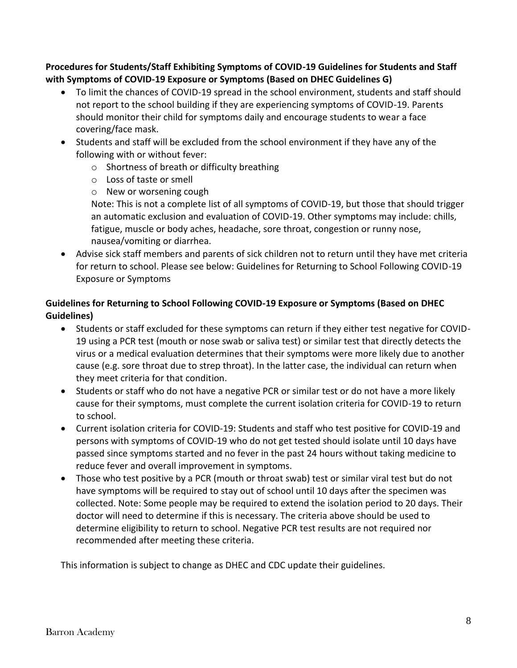**Procedures for Students/Staff Exhibiting Symptoms of COVID-19 Guidelines for Students and Staff with Symptoms of COVID-19 Exposure or Symptoms (Based on DHEC Guidelines G)**

- To limit the chances of COVID-19 spread in the school environment, students and staff should not report to the school building if they are experiencing symptoms of COVID-19. Parents should monitor their child for symptoms daily and encourage students to wear a face covering/face mask.
- Students and staff will be excluded from the school environment if they have any of the following with or without fever:
	- o Shortness of breath or difficulty breathing
	- o Loss of taste or smell
	- o New or worsening cough

Note: This is not a complete list of all symptoms of COVID-19, but those that should trigger an automatic exclusion and evaluation of COVID-19. Other symptoms may include: chills, fatigue, muscle or body aches, headache, sore throat, congestion or runny nose, nausea/vomiting or diarrhea.

• Advise sick staff members and parents of sick children not to return until they have met criteria for return to school. Please see below: Guidelines for Returning to School Following COVID-19 Exposure or Symptoms

#### **Guidelines for Returning to School Following COVID-19 Exposure or Symptoms (Based on DHEC Guidelines)**

- Students or staff excluded for these symptoms can return if they either test negative for COVID-19 using a PCR test (mouth or nose swab or saliva test) or similar test that directly detects the virus or a medical evaluation determines that their symptoms were more likely due to another cause (e.g. sore throat due to strep throat). In the latter case, the individual can return when they meet criteria for that condition.
- Students or staff who do not have a negative PCR or similar test or do not have a more likely cause for their symptoms, must complete the current isolation criteria for COVID-19 to return to school.
- Current isolation criteria for COVID-19: Students and staff who test positive for COVID-19 and persons with symptoms of COVID-19 who do not get tested should isolate until 10 days have passed since symptoms started and no fever in the past 24 hours without taking medicine to reduce fever and overall improvement in symptoms.
- Those who test positive by a PCR (mouth or throat swab) test or similar viral test but do not have symptoms will be required to stay out of school until 10 days after the specimen was collected. Note: Some people may be required to extend the isolation period to 20 days. Their doctor will need to determine if this is necessary. The criteria above should be used to determine eligibility to return to school. Negative PCR test results are not required nor recommended after meeting these criteria.

This information is subject to change as DHEC and CDC update their guidelines.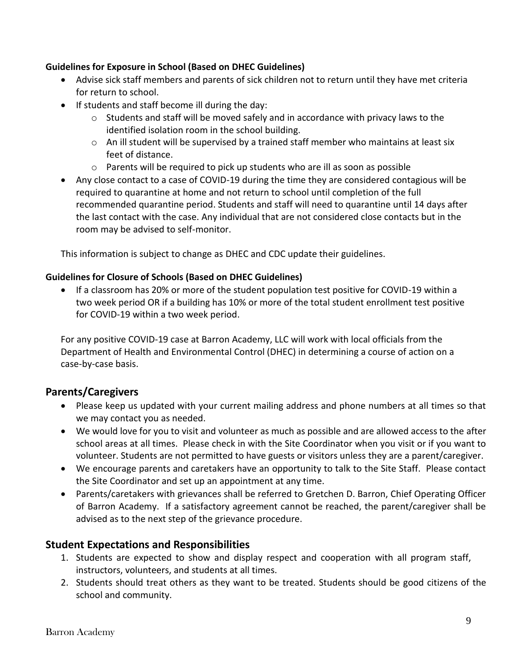#### **Guidelines for Exposure in School (Based on DHEC Guidelines)**

- Advise sick staff members and parents of sick children not to return until they have met criteria for return to school.
- If students and staff become ill during the day:
	- $\circ$  Students and staff will be moved safely and in accordance with privacy laws to the identified isolation room in the school building.
	- $\circ$  An ill student will be supervised by a trained staff member who maintains at least six feet of distance.
	- $\circ$  Parents will be required to pick up students who are ill as soon as possible
- Any close contact to a case of COVID-19 during the time they are considered contagious will be required to quarantine at home and not return to school until completion of the full recommended quarantine period. Students and staff will need to quarantine until 14 days after the last contact with the case. Any individual that are not considered close contacts but in the room may be advised to self-monitor.

This information is subject to change as DHEC and CDC update their guidelines.

#### **Guidelines for Closure of Schools (Based on DHEC Guidelines)**

• If a classroom has 20% or more of the student population test positive for COVID-19 within a two week period OR if a building has 10% or more of the total student enrollment test positive for COVID-19 within a two week period.

For any positive COVID-19 case at Barron Academy, LLC will work with local officials from the Department of Health and Environmental Control (DHEC) in determining a course of action on a case-by-case basis.

## **Parents/Caregivers**

- Please keep us updated with your current mailing address and phone numbers at all times so that we may contact you as needed.
- We would love for you to visit and volunteer as much as possible and are allowed access to the after school areas at all times. Please check in with the Site Coordinator when you visit or if you want to volunteer. Students are not permitted to have guests or visitors unless they are a parent/caregiver.
- We encourage parents and caretakers have an opportunity to talk to the Site Staff. Please contact the Site Coordinator and set up an appointment at any time.
- Parents/caretakers with grievances shall be referred to Gretchen D. Barron, Chief Operating Officer of Barron Academy. If a satisfactory agreement cannot be reached, the parent/caregiver shall be advised as to the next step of the grievance procedure.

#### **Student Expectations and Responsibilities**

- 1. Students are expected to show and display respect and cooperation with all program staff, instructors, volunteers, and students at all times.
- 2. Students should treat others as they want to be treated. Students should be good citizens of the school and community.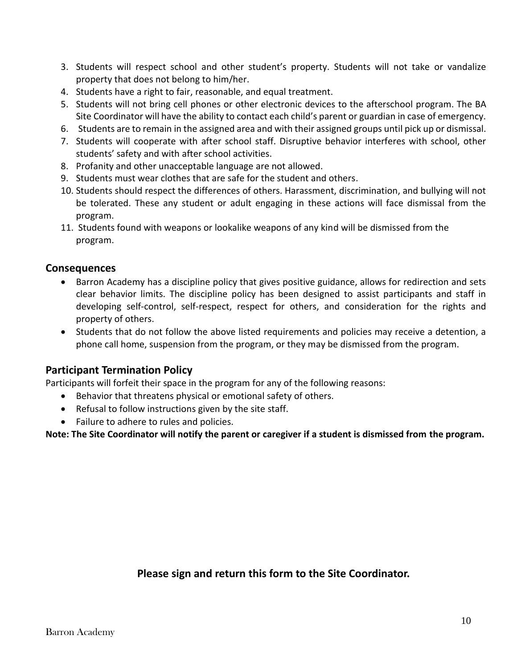- 3. Students will respect school and other student's property. Students will not take or vandalize property that does not belong to him/her.
- 4. Students have a right to fair, reasonable, and equal treatment.
- 5. Students will not bring cell phones or other electronic devices to the afterschool program. The BA Site Coordinator will have the ability to contact each child's parent or guardian in case of emergency.
- 6. Students are to remain in the assigned area and with their assigned groups until pick up or dismissal.
- 7. Students will cooperate with after school staff. Disruptive behavior interferes with school, other students' safety and with after school activities.
- 8. Profanity and other unacceptable language are not allowed.
- 9. Students must wear clothes that are safe for the student and others.
- 10. Students should respect the differences of others. Harassment, discrimination, and bullying will not be tolerated. These any student or adult engaging in these actions will face dismissal from the program.
- 11. Students found with weapons or lookalike weapons of any kind will be dismissed from the program.

#### **Consequences**

- Barron Academy has a discipline policy that gives positive guidance, allows for redirection and sets clear behavior limits. The discipline policy has been designed to assist participants and staff in developing self-control, self-respect, respect for others, and consideration for the rights and property of others.
- Students that do not follow the above listed requirements and policies may receive a detention, a phone call home, suspension from the program, or they may be dismissed from the program.

#### **Participant Termination Policy**

Participants will forfeit their space in the program for any of the following reasons:

- Behavior that threatens physical or emotional safety of others.
- Refusal to follow instructions given by the site staff.
- Failure to adhere to rules and policies.

**Note: The Site Coordinator will notify the parent or caregiver if a student is dismissed from the program.**

**Please sign and return this form to the Site Coordinator.**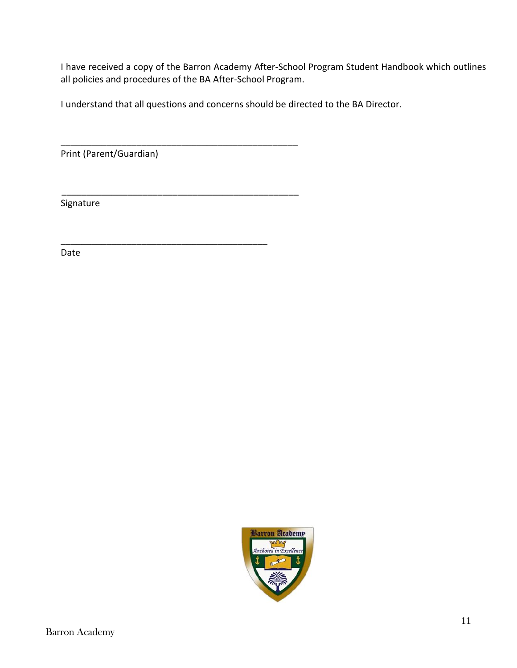I have received a copy of the Barron Academy After-School Program Student Handbook which outlines all policies and procedures of the BA After-School Program.

I understand that all questions and concerns should be directed to the BA Director.

\_\_\_\_\_\_\_\_\_\_\_\_\_\_\_\_\_\_\_\_\_\_\_\_\_\_\_\_\_\_\_\_\_\_\_\_\_\_\_\_\_\_\_\_\_\_\_

\_\_\_\_\_\_\_\_\_\_\_\_\_\_\_\_\_\_\_\_\_\_\_\_\_\_\_\_\_\_\_\_\_\_\_\_\_\_\_\_\_\_\_\_\_\_\_

\_\_\_\_\_\_\_\_\_\_\_\_\_\_\_\_\_\_\_\_\_\_\_\_\_\_\_\_\_\_\_\_\_\_\_\_\_\_\_\_\_

Print (Parent/Guardian)

Signature

Date

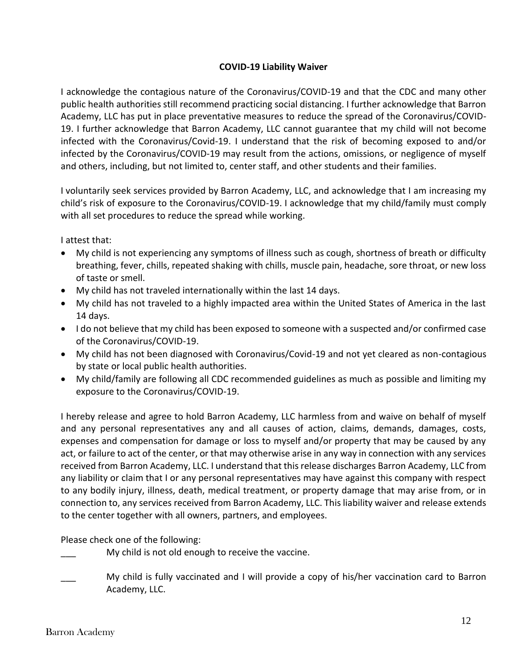#### **COVID-19 Liability Waiver**

I acknowledge the contagious nature of the Coronavirus/COVID-19 and that the CDC and many other public health authorities still recommend practicing social distancing. I further acknowledge that Barron Academy, LLC has put in place preventative measures to reduce the spread of the Coronavirus/COVID-19. I further acknowledge that Barron Academy, LLC cannot guarantee that my child will not become infected with the Coronavirus/Covid-19. I understand that the risk of becoming exposed to and/or infected by the Coronavirus/COVID-19 may result from the actions, omissions, or negligence of myself and others, including, but not limited to, center staff, and other students and their families.

I voluntarily seek services provided by Barron Academy, LLC, and acknowledge that I am increasing my child's risk of exposure to the Coronavirus/COVID-19. I acknowledge that my child/family must comply with all set procedures to reduce the spread while working.

I attest that:

- My child is not experiencing any symptoms of illness such as cough, shortness of breath or difficulty breathing, fever, chills, repeated shaking with chills, muscle pain, headache, sore throat, or new loss of taste or smell.
- My child has not traveled internationally within the last 14 days.
- My child has not traveled to a highly impacted area within the United States of America in the last 14 days.
- I do not believe that my child has been exposed to someone with a suspected and/or confirmed case of the Coronavirus/COVID-19.
- My child has not been diagnosed with Coronavirus/Covid-19 and not yet cleared as non-contagious by state or local public health authorities.
- My child/family are following all CDC recommended guidelines as much as possible and limiting my exposure to the Coronavirus/COVID-19.

I hereby release and agree to hold Barron Academy, LLC harmless from and waive on behalf of myself and any personal representatives any and all causes of action, claims, demands, damages, costs, expenses and compensation for damage or loss to myself and/or property that may be caused by any act, or failure to act of the center, or that may otherwise arise in any way in connection with any services received from Barron Academy, LLC. I understand that this release discharges Barron Academy, LLC from any liability or claim that I or any personal representatives may have against this company with respect to any bodily injury, illness, death, medical treatment, or property damage that may arise from, or in connection to, any services received from Barron Academy, LLC. This liability waiver and release extends to the center together with all owners, partners, and employees.

Please check one of the following:

My child is not old enough to receive the vaccine.

My child is fully vaccinated and I will provide a copy of his/her vaccination card to Barron Academy, LLC.